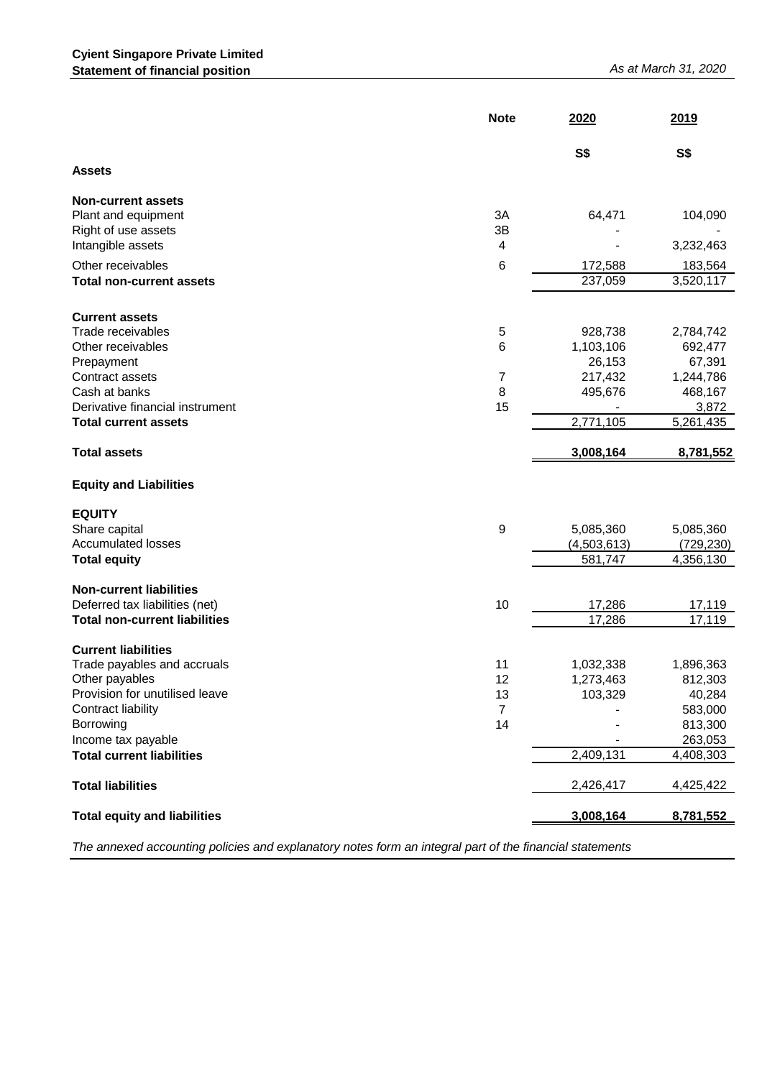|                                                                         | <b>Note</b>          | 2020                   | 2019                    |
|-------------------------------------------------------------------------|----------------------|------------------------|-------------------------|
|                                                                         |                      | <b>S\$</b>             | <b>S\$</b>              |
| <b>Assets</b>                                                           |                      |                        |                         |
| <b>Non-current assets</b><br>Plant and equipment<br>Right of use assets | 3A<br>3B             | 64,471                 | 104,090                 |
| Intangible assets                                                       | 4                    |                        | 3,232,463               |
| Other receivables                                                       | 6                    | 172,588                | 183,564                 |
| <b>Total non-current assets</b>                                         |                      | 237,059                | 3,520,117               |
| <b>Current assets</b><br>Trade receivables                              | $\sqrt{5}$           | 928,738                | 2,784,742               |
| Other receivables                                                       | 6                    | 1,103,106              | 692,477                 |
| Prepayment                                                              |                      | 26,153                 | 67,391                  |
| Contract assets<br>Cash at banks                                        | $\overline{7}$<br>8  | 217,432<br>495,676     | 1,244,786<br>468,167    |
| Derivative financial instrument                                         | 15                   |                        | 3,872                   |
| <b>Total current assets</b>                                             |                      | 2,771,105              | 5,261,435               |
| <b>Total assets</b>                                                     |                      | 3,008,164              | 8,781,552               |
| <b>Equity and Liabilities</b>                                           |                      |                        |                         |
| <b>EQUITY</b>                                                           |                      |                        |                         |
| Share capital                                                           | 9                    | 5,085,360              | 5,085,360               |
| <b>Accumulated losses</b>                                               |                      | (4,503,613)<br>581,747 | (729, 230)<br>4,356,130 |
| <b>Total equity</b>                                                     |                      |                        |                         |
| <b>Non-current liabilities</b>                                          |                      |                        |                         |
| Deferred tax liabilities (net)<br><b>Total non-current liabilities</b>  | 10                   | 17,286                 | 17,119                  |
|                                                                         |                      | 17,286                 | 17,119                  |
| <b>Current liabilities</b>                                              |                      |                        |                         |
| Trade payables and accruals                                             | 11                   | 1,032,338              | 1,896,363               |
| Other payables<br>Provision for unutilised leave                        | 12                   | 1,273,463              | 812,303                 |
| Contract liability                                                      | 13<br>$\overline{7}$ | 103,329                | 40,284<br>583,000       |
| Borrowing                                                               | 14                   |                        | 813,300                 |
| Income tax payable                                                      |                      |                        | 263,053                 |
| <b>Total current liabilities</b>                                        |                      | 2,409,131              | 4,408,303               |
|                                                                         |                      |                        |                         |
| <b>Total liabilities</b>                                                |                      | 2,426,417              | 4,425,422               |
| <b>Total equity and liabilities</b>                                     |                      | 3,008,164              | 8,781,552               |

*The annexed accounting policies and explanatory notes form an integral part of the financial statements*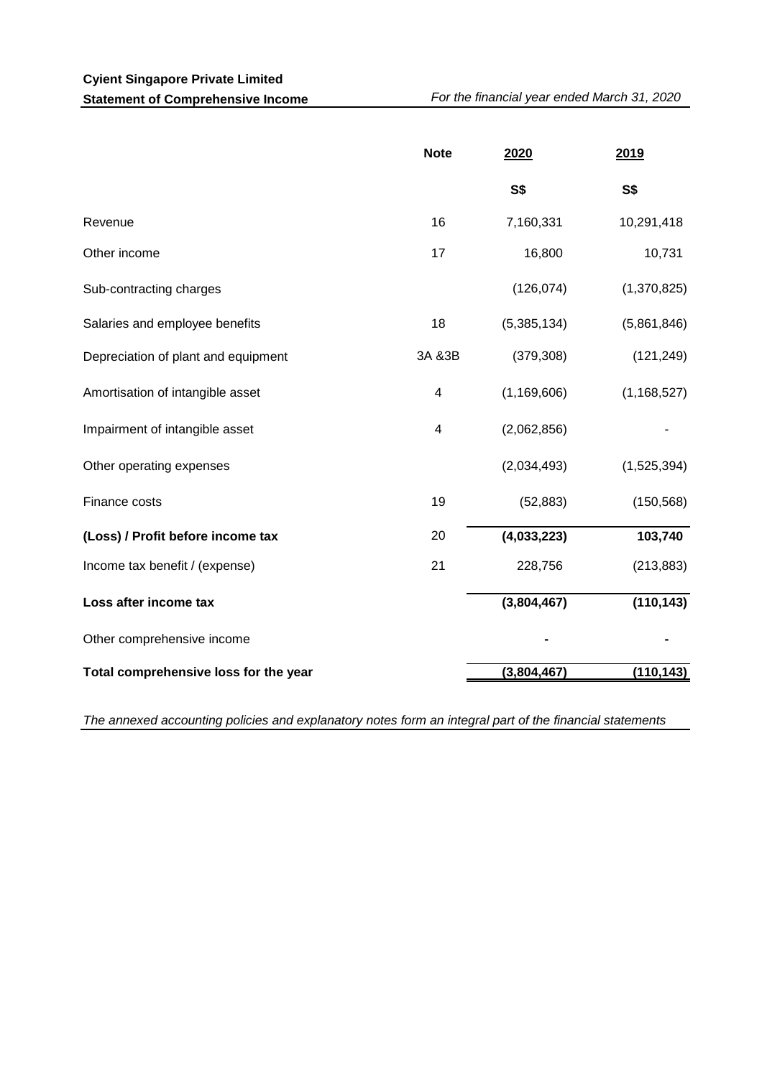|                                       | <b>Note</b> | 2020          | 2019          |
|---------------------------------------|-------------|---------------|---------------|
|                                       |             | <b>S\$</b>    | <b>S\$</b>    |
| Revenue                               | 16          | 7,160,331     | 10,291,418    |
| Other income                          | 17          | 16,800        | 10,731        |
| Sub-contracting charges               |             | (126, 074)    | (1,370,825)   |
| Salaries and employee benefits        | 18          | (5,385,134)   | (5,861,846)   |
| Depreciation of plant and equipment   | 3A & 3B     | (379, 308)    | (121, 249)    |
| Amortisation of intangible asset      | 4           | (1, 169, 606) | (1, 168, 527) |
| Impairment of intangible asset        | 4           | (2,062,856)   |               |
| Other operating expenses              |             | (2,034,493)   | (1,525,394)   |
| Finance costs                         | 19          | (52, 883)     | (150, 568)    |
| (Loss) / Profit before income tax     | 20          | (4,033,223)   | 103,740       |
| Income tax benefit / (expense)        | 21          | 228,756       | (213, 883)    |
| Loss after income tax                 |             | (3,804,467)   | (110, 143)    |
| Other comprehensive income            |             |               |               |
| Total comprehensive loss for the year |             | (3,804,467)   | (110, 143)    |

*The annexed accounting policies and explanatory notes form an integral part of the financial statements*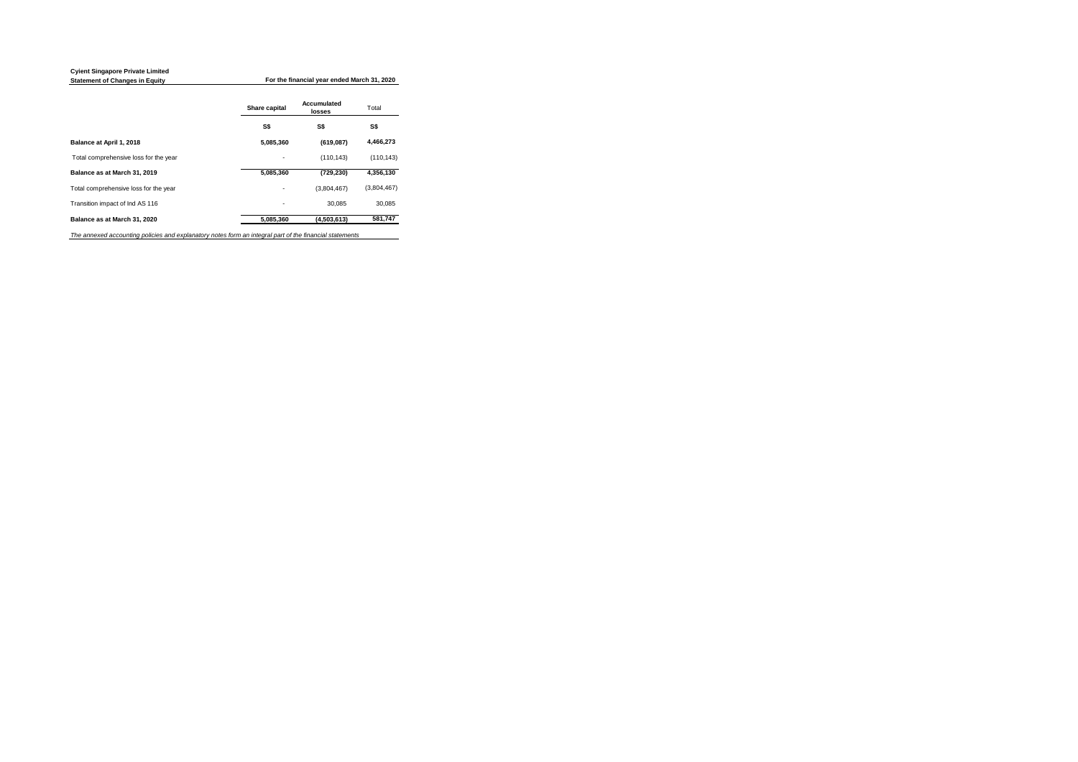**For the financial year ended March 31, 2020** 

|                                                                                                         | Share capital | <b>Accumulated</b><br><b>losses</b> | Total       |
|---------------------------------------------------------------------------------------------------------|---------------|-------------------------------------|-------------|
|                                                                                                         | <b>S\$</b>    | S\$                                 | S\$         |
| <b>Balance at April 1, 2018</b>                                                                         | 5,085,360     | (619,087)                           | 4,466,273   |
| Total comprehensive loss for the year                                                                   |               | (110, 143)                          | (110, 143)  |
| Balance as at March 31, 2019                                                                            | 5,085,360     | (729, 230)                          | 4,356,130   |
| Total comprehensive loss for the year                                                                   |               | (3,804,467)                         | (3,804,467) |
| Transition impact of Ind AS 116                                                                         |               | 30,085                              | 30,085      |
| Balance as at March 31, 2020                                                                            | 5,085,360     | (4,503,613)                         | 581,747     |
| The annexed accounting policies and explanatory notes form an integral part of the financial statements |               |                                     |             |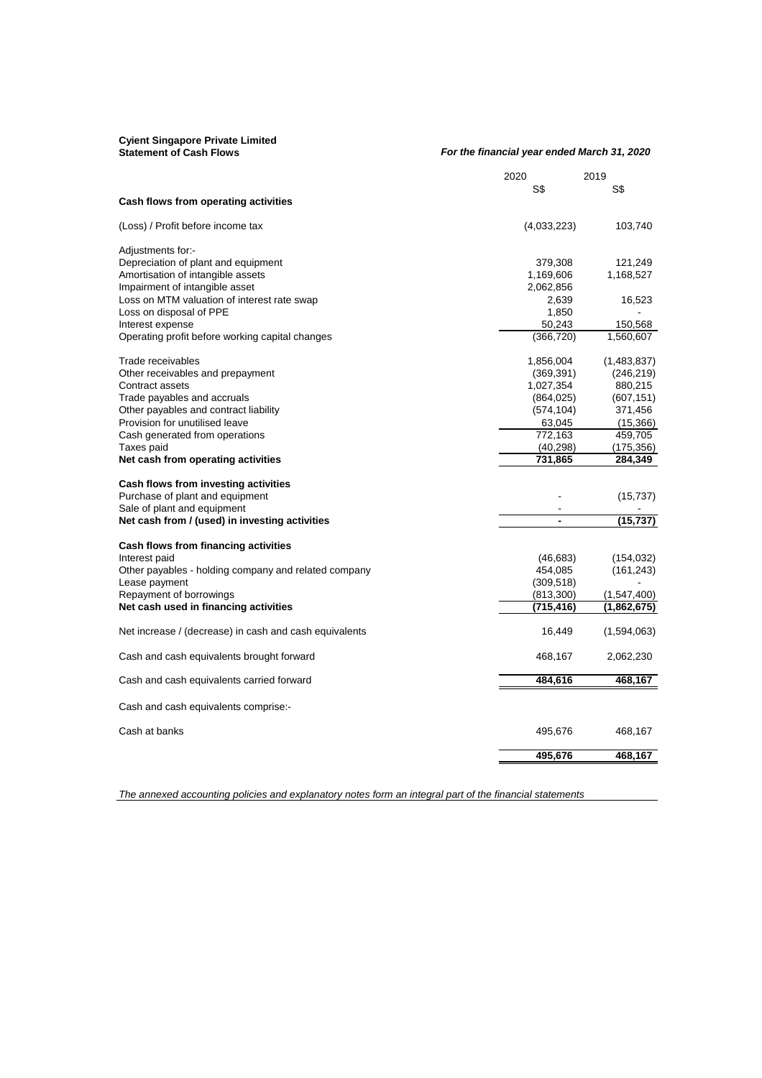| <b>Cyient Singapore Private Limited</b><br><b>Statement of Cash Flows</b> | For the financial year ended March 31, 2020 |               |
|---------------------------------------------------------------------------|---------------------------------------------|---------------|
|                                                                           | 2020                                        | 2019          |
|                                                                           | S\$                                         | S\$           |
| <b>Cash flows from operating activities</b>                               |                                             |               |
| (Loss) / Profit before income tax                                         | (4,033,223)                                 | 103,740       |
| Adjustments for:-                                                         |                                             |               |
| Depreciation of plant and equipment                                       | 379,308                                     | 121,249       |
| Amortisation of intangible assets                                         | 1,169,606                                   | 1,168,527     |
| Impairment of intangible asset                                            | 2,062,856                                   |               |
| Loss on MTM valuation of interest rate swap                               | 2,639                                       | 16,523        |
| Loss on disposal of PPE                                                   | 1,850                                       |               |
| Interest expense                                                          | 50,243                                      | 150,568       |
| Operating profit before working capital changes                           | (366, 720)                                  | 1,560,607     |
| Trade receivables                                                         | 1,856,004                                   | (1,483,837)   |
| Other receivables and prepayment                                          | (369, 391)                                  | (246, 219)    |
| Contract assets                                                           | 1,027,354                                   | 880,215       |
| Trade payables and accruals                                               | (864, 025)                                  | (607, 151)    |
| Other payables and contract liability                                     | (574, 104)                                  | 371,456       |
| Provision for unutilised leave                                            | 63,045                                      | (15, 366)     |
| Cash generated from operations                                            | 772,163                                     | 459,705       |
| Taxes paid                                                                | (40, 298)                                   | (175, 356)    |
| Net cash from operating activities                                        | 731,865                                     | 284,349       |
| <b>Cash flows from investing activities</b>                               |                                             |               |
| Purchase of plant and equipment                                           |                                             | (15, 737)     |
| Sale of plant and equipment                                               |                                             |               |
| Net cash from / (used) in investing activities                            |                                             | (15, 737)     |
| <b>Cash flows from financing activities</b>                               |                                             |               |
| Interest paid                                                             | (46, 683)                                   | (154, 032)    |
| Other payables - holding company and related company                      | 454,085                                     | (161, 243)    |
| Lease payment                                                             | (309, 518)                                  |               |
| Repayment of borrowings                                                   | (813, 300)                                  | (1, 547, 400) |
| Net cash used in financing activities                                     | (715, 416)                                  | (1,862,675)   |
| Net increase / (decrease) in cash and cash equivalents                    | 16,449                                      | (1,594,063)   |
| Cash and cash equivalents brought forward                                 | 468,167                                     | 2,062,230     |
| Cash and cash equivalents carried forward                                 | 484,616                                     | 468,167       |
|                                                                           |                                             |               |
| Cash and cash equivalents comprise:-                                      |                                             |               |
| Cash at banks                                                             | 495,676                                     | 468,167       |
|                                                                           | 495,676                                     | 468,167       |

*The annexed accounting policies and explanatory notes form an integral part of the financial statements*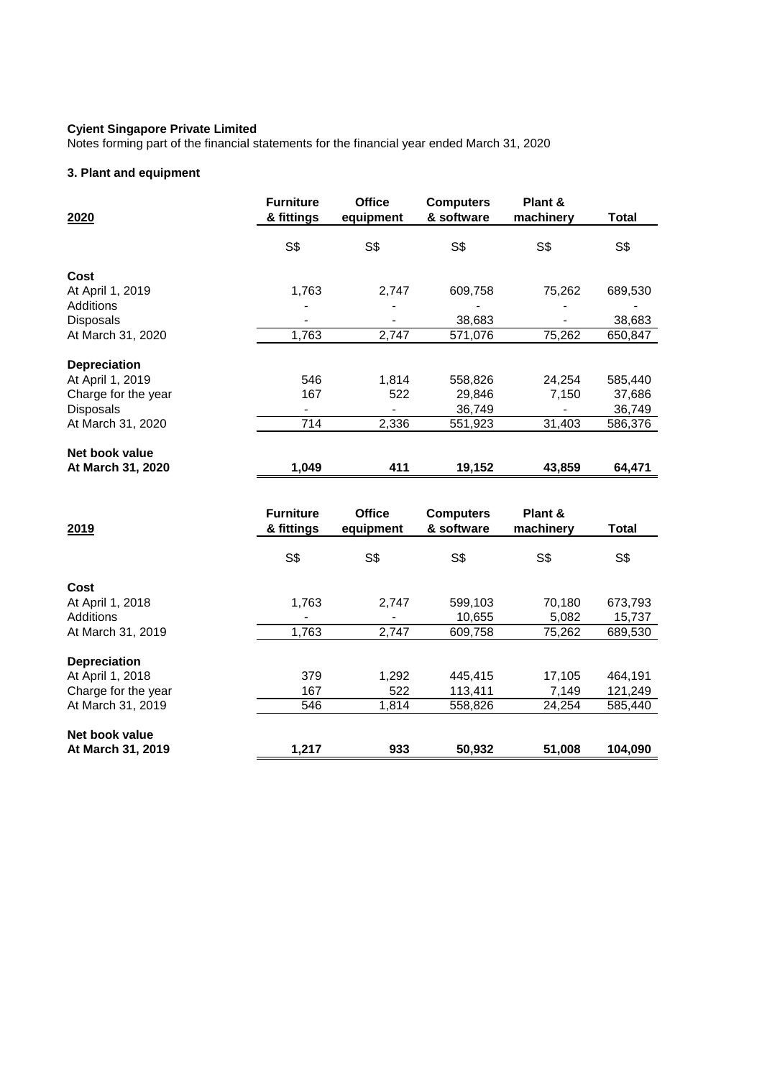Notes forming part of the financial statements for the financial year ended March 31, 2020

# **3. Plant and equipment**

| 2020                | <b>Furniture</b><br>& fittings | <b>Office</b><br>equipment | <b>Computers</b><br>& software | Plant &<br>machinery | <b>Total</b> |
|---------------------|--------------------------------|----------------------------|--------------------------------|----------------------|--------------|
|                     | S\$                            | S\$                        | S\$                            | S\$                  | S\$          |
| Cost                |                                |                            |                                |                      |              |
| At April 1, 2019    | 1,763                          | 2,747                      | 609,758                        | 75,262               | 689,530      |
| Additions           |                                |                            |                                |                      |              |
| Disposals           |                                |                            | 38,683                         |                      | 38,683       |
| At March 31, 2020   | 1,763                          | 2,747                      | 571,076                        | 75,262               | 650,847      |
| <b>Depreciation</b> |                                |                            |                                |                      |              |
| At April 1, 2019    | 546                            | 1,814                      | 558,826                        | 24,254               | 585,440      |
| Charge for the year | 167                            | 522                        | 29,846                         | 7,150                | 37,686       |
| <b>Disposals</b>    |                                |                            | 36,749                         |                      | 36,749       |
| At March 31, 2020   | 714                            | 2,336                      | 551,923                        | 31,403               | 586,376      |
| Net book value      |                                |                            |                                |                      |              |
| At March 31, 2020   | 1,049                          | 411                        | 19,152                         | 43,859               | 64,471       |
|                     |                                |                            |                                |                      |              |
|                     | <b>Furniture</b>               | <b>Office</b>              | <b>Computers</b>               | Plant &              |              |
| 2019                | & fittings                     | equipment                  | & software                     | machinery            | <b>Total</b> |
|                     | S\$                            | S\$                        | S\$                            | S\$                  | S\$          |
| Cost.               |                                |                            |                                |                      |              |

**Cost** At April 1, 2018 1,763 2,747 599,103 70,180 673,793<br>Additions 10,655 5,082 15,737 Additions - - 10,655 5,082 15,737 At March 31, 2019 1,763 2,747 609,758 75,262 689,530

**Depreciation**  At April 1, 2018 **1,292** 1,292 445,415 17,105 464,191 Charge for the year 167 167 522 113,411 7,149 121,249 At March 31, 2019 **546** 558,826 24,254 585,440

**Net book value At March 31, 2019 1,217 933 50,932 51,008 104,090**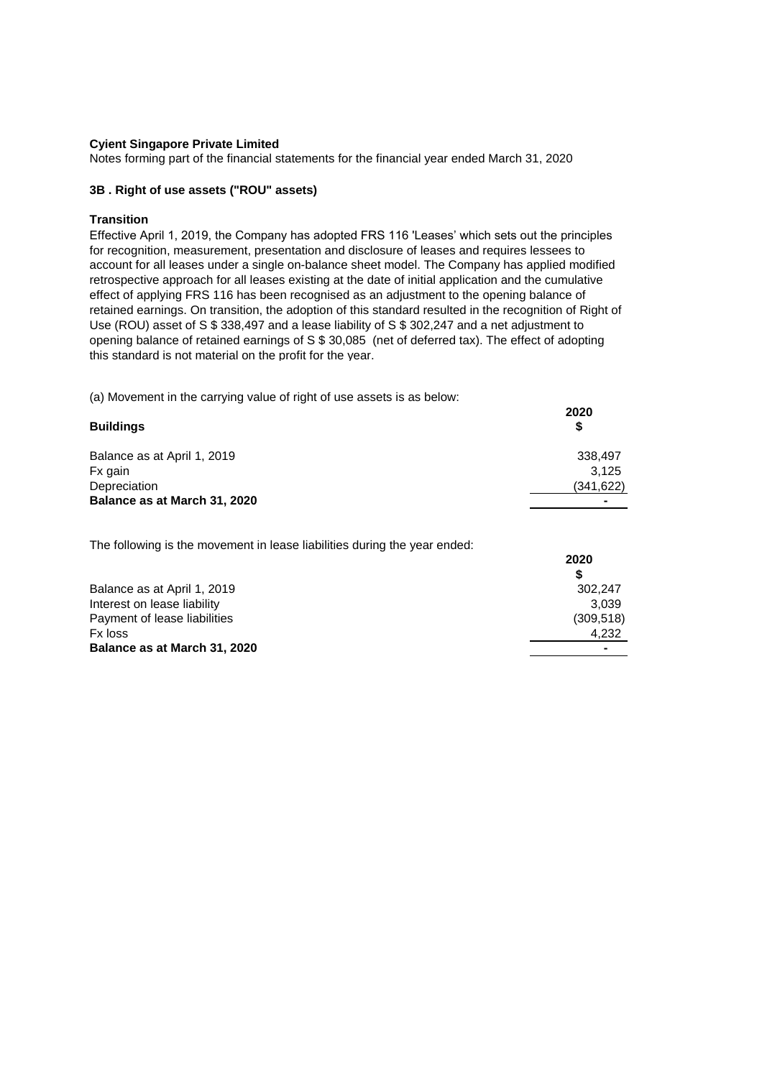Notes forming part of the financial statements for the financial year ended March 31, 2020

## **3B . Right of use assets ("ROU" assets)**

#### **Transition**

Effective April 1, 2019, the Company has adopted FRS 116 'Leases' which sets out the principles for recognition, measurement, presentation and disclosure of leases and requires lessees to account for all leases under a single on-balance sheet model. The Company has applied modified retrospective approach for all leases existing at the date of initial application and the cumulative effect of applying FRS 116 has been recognised as an adjustment to the opening balance of retained earnings. On transition, the adoption of this standard resulted in the recognition of Right of Use (ROU) asset of S \$ 338,497 and a lease liability of S \$ 302,247 and a net adjustment to opening balance of retained earnings of S \$ 30,085 (net of deferred tax). The effect of adopting this standard is not material on the profit for the year.

(a) Movement in the carrying value of right of use assets is as below:

| <b>Buildings</b>             | 2020<br>S      |
|------------------------------|----------------|
| Balance as at April 1, 2019  | 338,497        |
| Fx gain                      | 3.125          |
| Depreciation                 | (341, 622)     |
| Balance as at March 31, 2020 | $\blacksquare$ |

The following is the movement in lease liabilities during the year ended:

|                              | 2020       |
|------------------------------|------------|
|                              |            |
| Balance as at April 1, 2019  | 302.247    |
| Interest on lease liability  | 3.039      |
| Payment of lease liabilities | (309, 518) |
| Fx loss                      | 4.232      |
| Balance as at March 31, 2020 |            |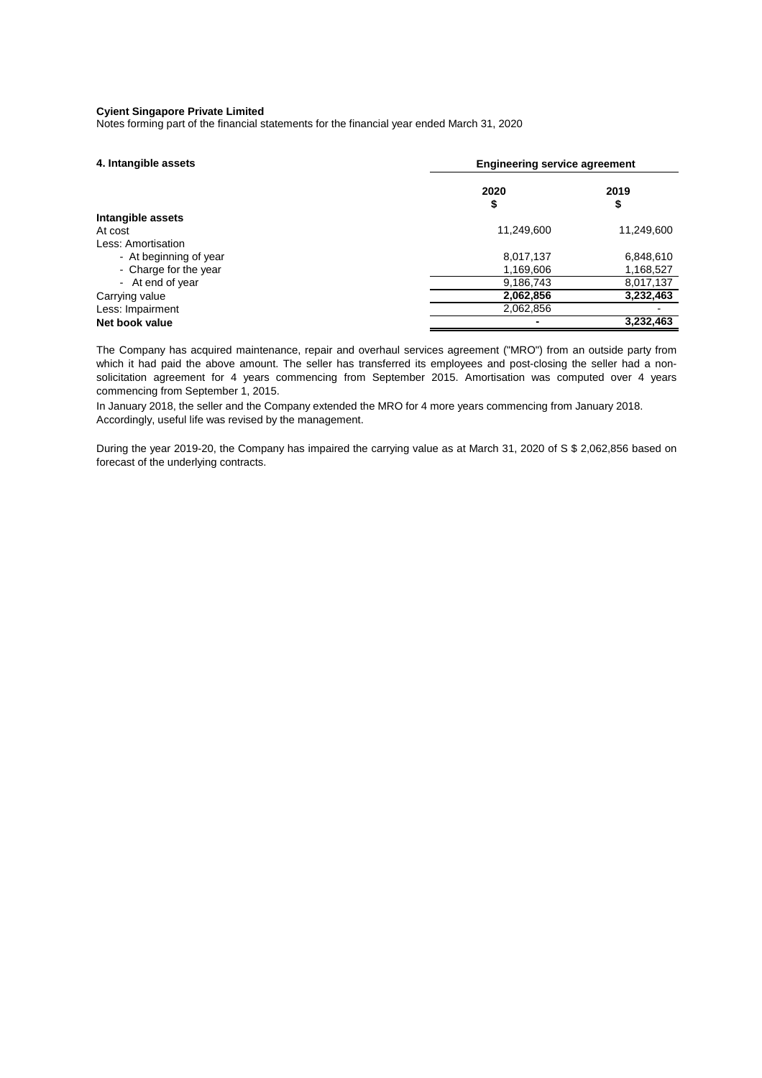Notes forming part of the financial statements for the financial year ended March 31, 2020

| 4. Intangible assets   |            | <b>Engineering service agreement</b> |  |  |
|------------------------|------------|--------------------------------------|--|--|
|                        | 2020<br>\$ | 2019<br>\$                           |  |  |
| Intangible assets      |            |                                      |  |  |
| At cost                | 11,249,600 | 11,249,600                           |  |  |
| Less: Amortisation     |            |                                      |  |  |
| - At beginning of year | 8,017,137  | 6,848,610                            |  |  |
| - Charge for the year  | 1,169,606  | 1,168,527                            |  |  |
| - At end of year       | 9,186,743  | 8,017,137                            |  |  |
| Carrying value         | 2,062,856  | 3,232,463                            |  |  |
| Less: Impairment       | 2,062,856  |                                      |  |  |
| Net book value         |            | 3,232,463                            |  |  |

The Company has acquired maintenance, repair and overhaul services agreement ("MRO") from an outside party from which it had paid the above amount. The seller has transferred its employees and post-closing the seller had a nonsolicitation agreement for 4 years commencing from September 2015. Amortisation was computed over 4 years commencing from September 1, 2015.

In January 2018, the seller and the Company extended the MRO for 4 more years commencing from January 2018. Accordingly, useful life was revised by the management.

During the year 2019-20, the Company has impaired the carrying value as at March 31, 2020 of S \$ 2,062,856 based on forecast of the underlying contracts.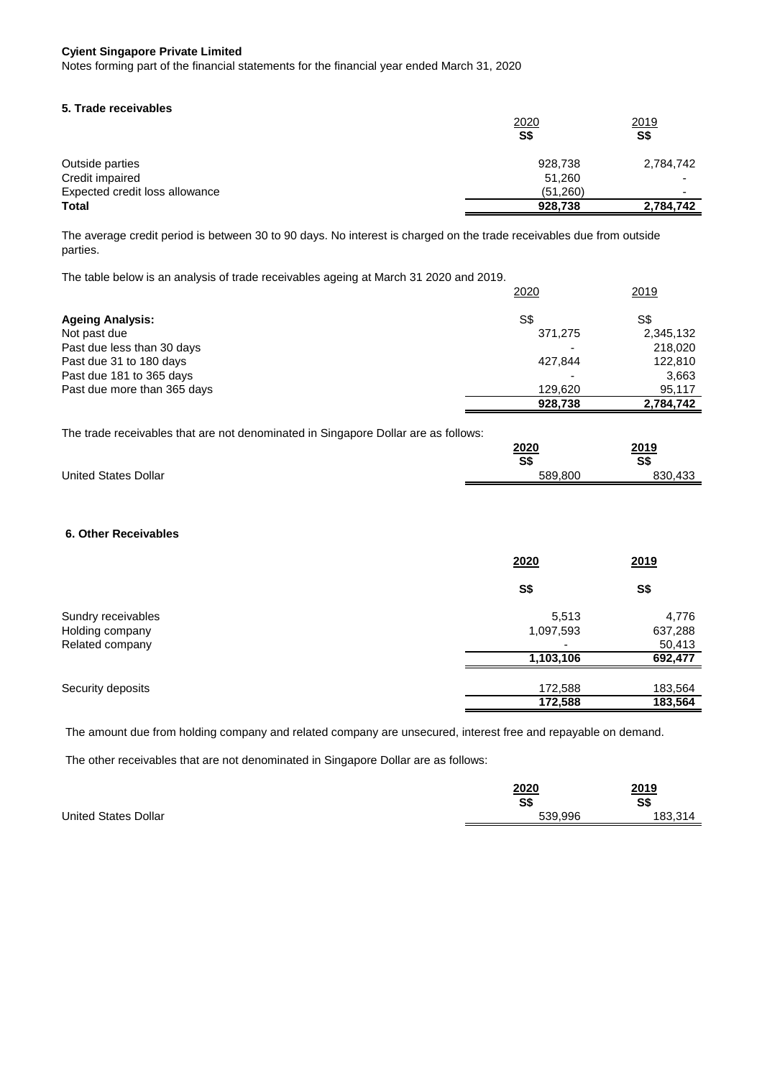Notes forming part of the financial statements for the financial year ended March 31, 2020

#### **5. Trade receivables**

|                                | 2020     | 2019      |
|--------------------------------|----------|-----------|
|                                | S\$      | S\$       |
| Outside parties                | 928,738  | 2,784,742 |
| Credit impaired                | 51,260   | -         |
| Expected credit loss allowance | (51,260) |           |
| <b>Total</b>                   | 928,738  | 2,784,742 |

The average credit period is between 30 to 90 days. No interest is charged on the trade receivables due from outside parties.

The table below is an analysis of trade receivables ageing at March 31 2020 and 2019.

|                             | 2020    | 2019      |
|-----------------------------|---------|-----------|
| <b>Ageing Analysis:</b>     | S\$     | S\$       |
| Not past due                | 371,275 | 2,345,132 |
| Past due less than 30 days  |         | 218,020   |
| Past due 31 to 180 days     | 427,844 | 122,810   |
| Past due 181 to 365 days    |         | 3,663     |
| Past due more than 365 days | 129,620 | 95,117    |
|                             | 928,738 | 2,784,742 |

The trade receivables that are not denominated in Singapore Dollar are as follows:

|                             | 2020    | 2019    |
|-----------------------------|---------|---------|
|                             | S\$     | S\$     |
| <b>United States Dollar</b> | 589,800 | 830,433 |

# **6. Other Receivables**

|                    | 2020      | 2019    |
|--------------------|-----------|---------|
|                    | S\$       | S\$     |
| Sundry receivables | 5,513     | 4,776   |
| Holding company    | 1,097,593 | 637,288 |
| Related company    |           | 50,413  |
|                    | 1,103,106 | 692,477 |
| Security deposits  | 172,588   | 183,564 |
|                    | 172,588   | 183,564 |

The amount due from holding company and related company are unsecured, interest free and repayable on demand.

The other receivables that are not denominated in Singapore Dollar are as follows:

|                             | <b>2020</b> | 2019    |
|-----------------------------|-------------|---------|
|                             | S\$         | S\$     |
| <b>United States Dollar</b> | 539,996     | 183,314 |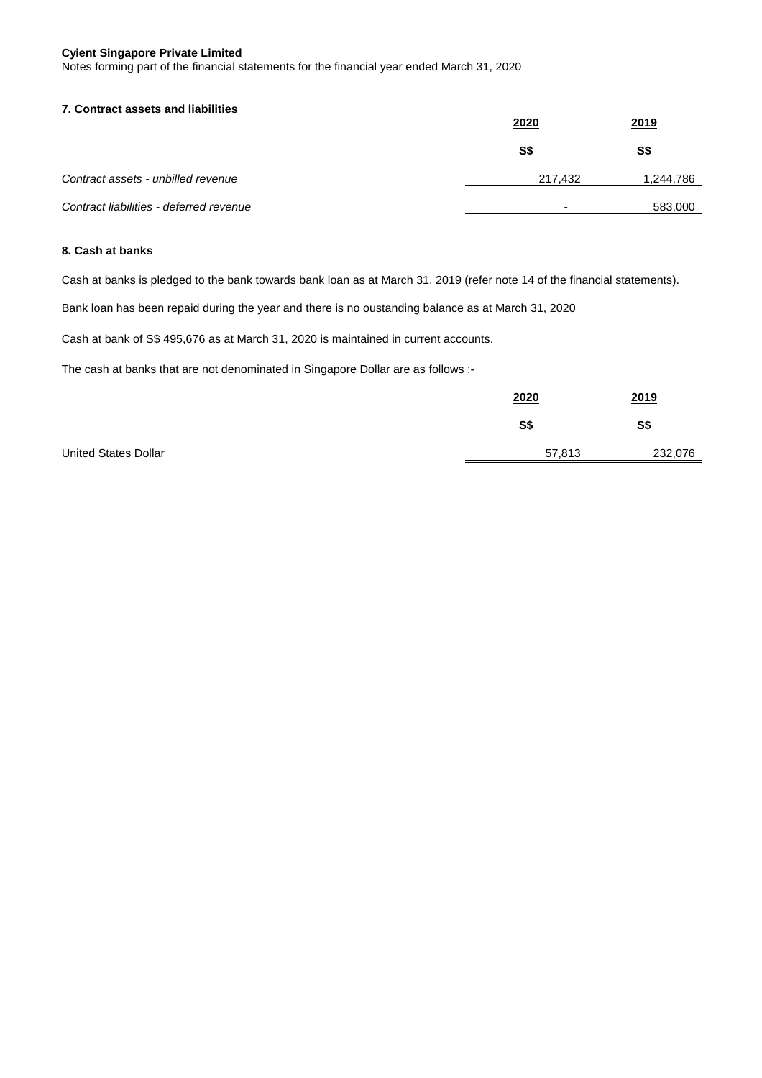Notes forming part of the financial statements for the financial year ended March 31, 2020

# **7. Contract assets and liabilities**

|                                         | 2020    | 2019      |
|-----------------------------------------|---------|-----------|
|                                         | S\$     | S\$       |
| Contract assets - unbilled revenue      | 217.432 | 1,244,786 |
| Contract liabilities - deferred revenue |         | 583,000   |

# **8. Cash at banks**

Cash at banks is pledged to the bank towards bank loan as at March 31, 2019 (refer note 14 of the financial statements).

Bank loan has been repaid during the year and there is no oustanding balance as at March 31, 2020

Cash at bank of S\$ 495,676 as at March 31, 2020 is maintained in current accounts.

The cash at banks that are not denominated in Singapore Dollar are as follows :-

|                             | 2020   | 2019    |
|-----------------------------|--------|---------|
|                             | S\$    | S\$     |
| <b>United States Dollar</b> | 57,813 | 232,076 |
|                             |        |         |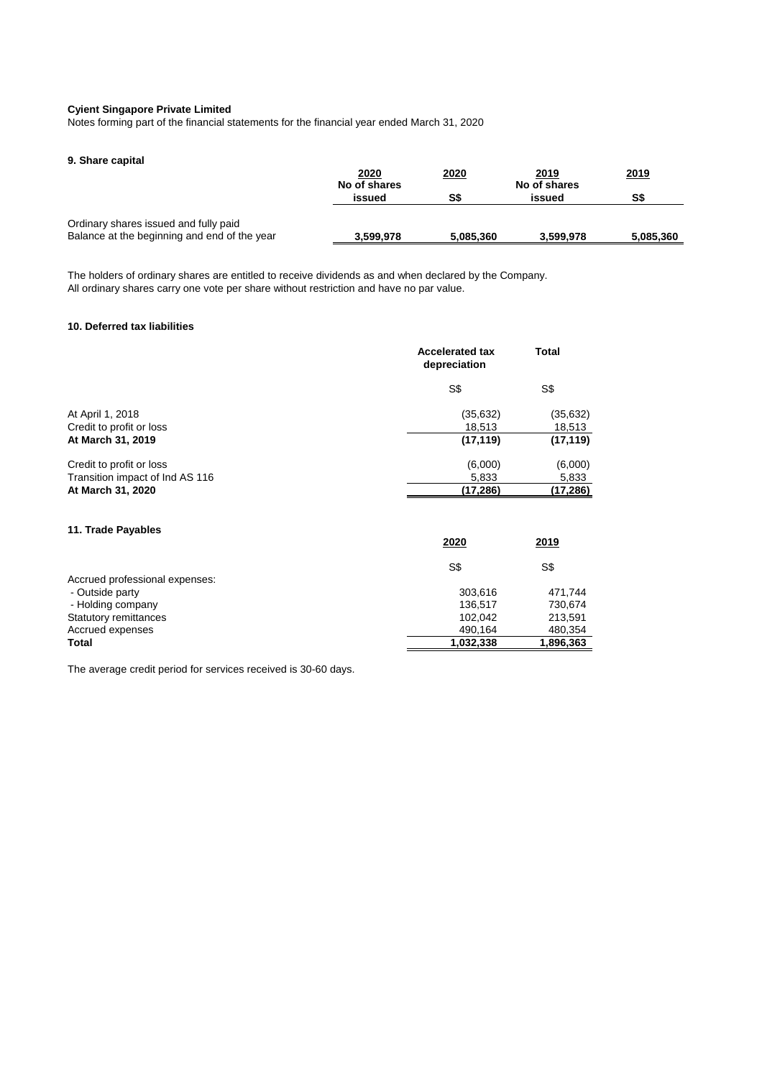Notes forming part of the financial statements for the financial year ended March 31, 2020

# **9. Share capital**

|                                              | 2020<br>No of shares | 2020      | 2019<br>No of shares | 2019      |
|----------------------------------------------|----------------------|-----------|----------------------|-----------|
|                                              | issued               | S\$       | issued               | S\$       |
| Ordinary shares issued and fully paid        |                      |           |                      |           |
| Balance at the beginning and end of the year | 3,599,978            | 5,085,360 | 3,599,978            | 5,085,360 |

The holders of ordinary shares are entitled to receive dividends as and when declared by the Company. All ordinary shares carry one vote per share without restriction and have no par value.

# **10. Deferred tax liabilities**

|                                 | <b>Accelerated tax</b><br>depreciation | <b>Total</b> |
|---------------------------------|----------------------------------------|--------------|
|                                 | S\$                                    | S\$          |
| At April 1, 2018                | (35, 632)                              | (35, 632)    |
| Credit to profit or loss        | 18,513                                 | 18,513       |
| At March 31, 2019               | (17, 119)                              | (17, 119)    |
| Credit to profit or loss        | (6,000)                                | (6,000)      |
| Transition impact of Ind AS 116 | 5,833                                  | 5,833        |
| At March 31, 2020               | (17, 286)                              | (17, 286)    |
| 11. Trade Payables              | 2020                                   | 2019         |

|                                | S\$       | S\$       |
|--------------------------------|-----------|-----------|
| Accrued professional expenses: |           |           |
| - Outside party                | 303.616   | 471.744   |
| - Holding company              | 136.517   | 730,674   |
| <b>Statutory remittances</b>   | 102.042   | 213,591   |
| Accrued expenses               | 490.164   | 480,354   |
| <b>Total</b>                   | 1,032,338 | 1,896,363 |
|                                |           |           |

...

The average credit period for services received is 30-60 days.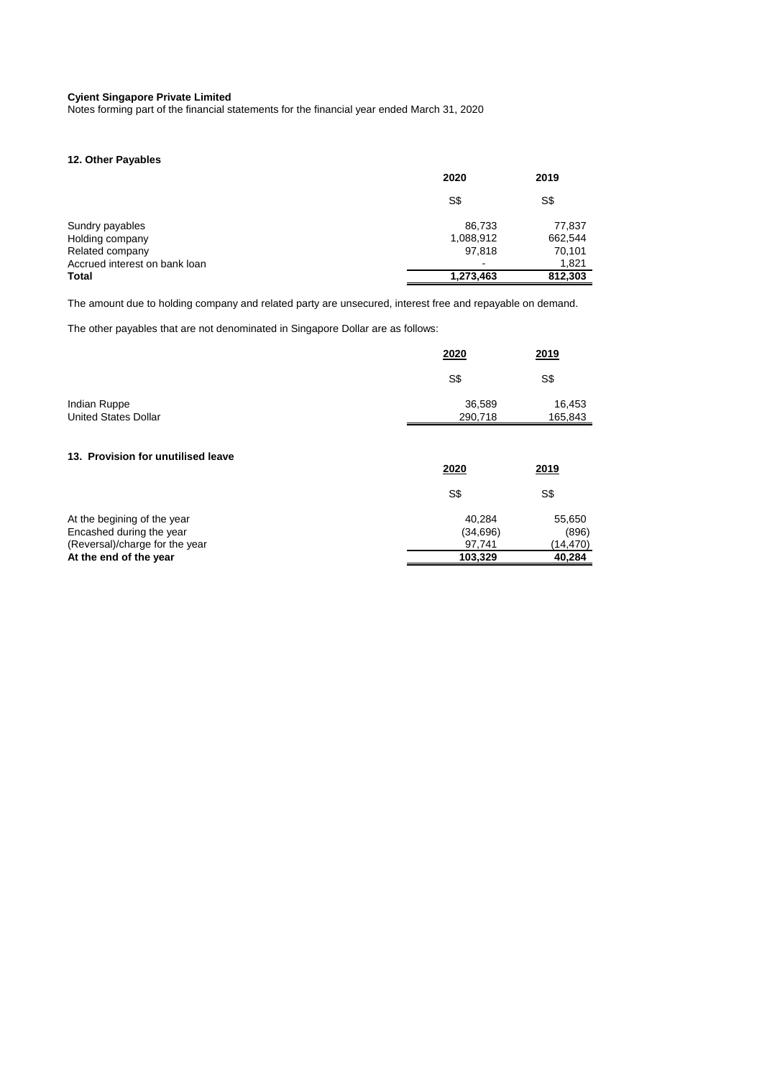Notes forming part of the financial statements for the financial year ended March 31, 2020

# **12. Other Payables**

|                               | 2020      | 2019    |
|-------------------------------|-----------|---------|
|                               | S\$       | S\$     |
| Sundry payables               | 86,733    | 77,837  |
| Holding company               | 1,088,912 | 662,544 |
| Related company               | 97,818    | 70,101  |
| Accrued interest on bank loan |           | 1,821   |
| Total                         | 1,273,463 | 812,303 |

The amount due to holding company and related party are unsecured, interest free and repayable on demand.

The other payables that are not denominated in Singapore Dollar are as follows:

|                                                                                           | 2020                          | 2019                         |
|-------------------------------------------------------------------------------------------|-------------------------------|------------------------------|
|                                                                                           | S\$                           | S\$                          |
| Indian Ruppe<br><b>United States Dollar</b>                                               | 36,589<br>290,718             | 16,453<br>165,843            |
| 13. Provision for unutilised leave                                                        |                               |                              |
|                                                                                           | 2020                          | 2019                         |
|                                                                                           | S\$                           | S\$                          |
| At the begining of the year<br>Encashed during the year<br>(Reversal)/charge for the year | 40,284<br>(34, 696)<br>97,741 | 55,650<br>(896)<br>(14, 470) |
| At the end of the year                                                                    | 103,329                       | 40,284                       |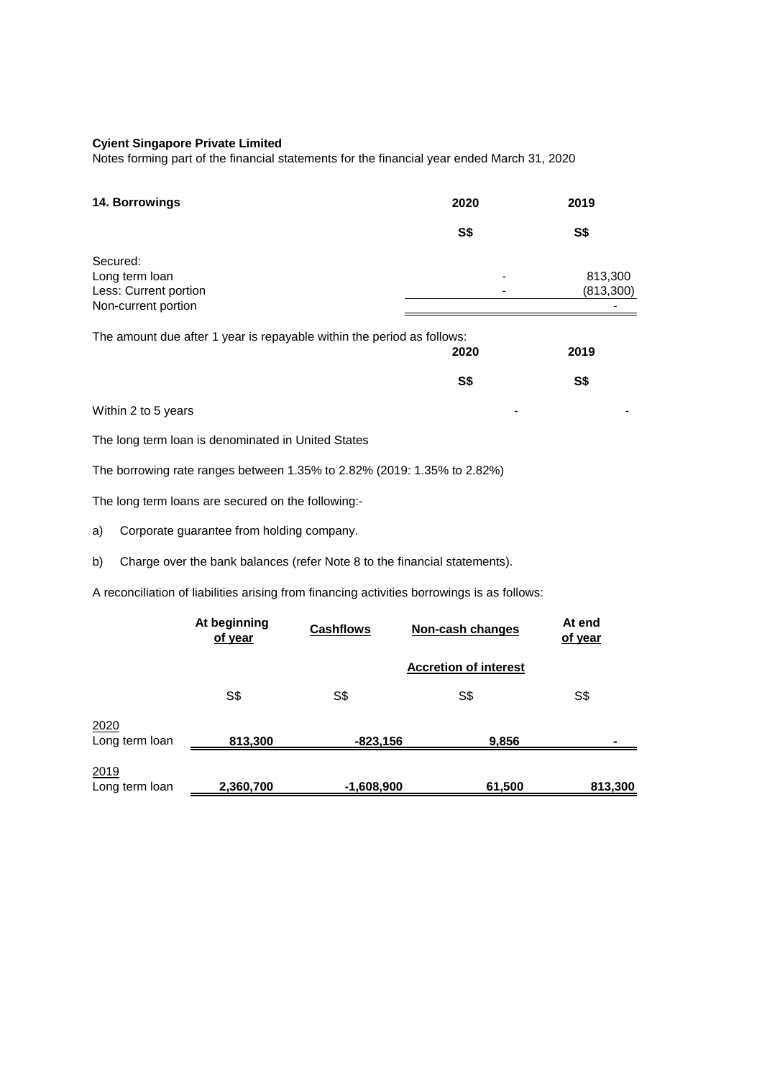Notes forming part of the financial statements for the financial year ended March 31, 2020

| 14. Borrowings                                                                              | 2020       | 2019                 |
|---------------------------------------------------------------------------------------------|------------|----------------------|
|                                                                                             | <b>S\$</b> | <b>S\$</b>           |
| Secured:<br>Long term loan<br>Less: Current portion<br>Non-current portion                  |            | 813,300<br>(813,300) |
| The amount due after 1 year is repayable within the period as follows:                      | 2020       | 2019                 |
|                                                                                             | <b>S\$</b> | S\$                  |
| Within 2 to 5 years                                                                         |            |                      |
| The long term loan is denominated in United States                                          |            |                      |
| The borrowing rate ranges between 1.35% to 2.82% (2019: 1.35% to 2.82%)                     |            |                      |
| The long term loans are secured on the following:-                                          |            |                      |
| Corporate guarantee from holding company.<br>a)                                             |            |                      |
| Charge over the bank balances (refer Note 8 to the financial statements).<br>b)             |            |                      |
| A reconciliation of liabilities arising from financing activities borrowings is as follows: |            |                      |

|                        | At beginning<br>of year | <b>Cashflows</b> | Non-cash changes             | At end<br>of year |
|------------------------|-------------------------|------------------|------------------------------|-------------------|
|                        |                         |                  | <b>Accretion of interest</b> |                   |
|                        | S\$                     | S\$              | S\$                          | S\$               |
| 2020<br>Long term loan | 813,300                 | $-823,156$       | 9,856                        |                   |
| 2019<br>Long term loan | 2,360,700               | $-1,608,900$     | 61,500                       | 813,300           |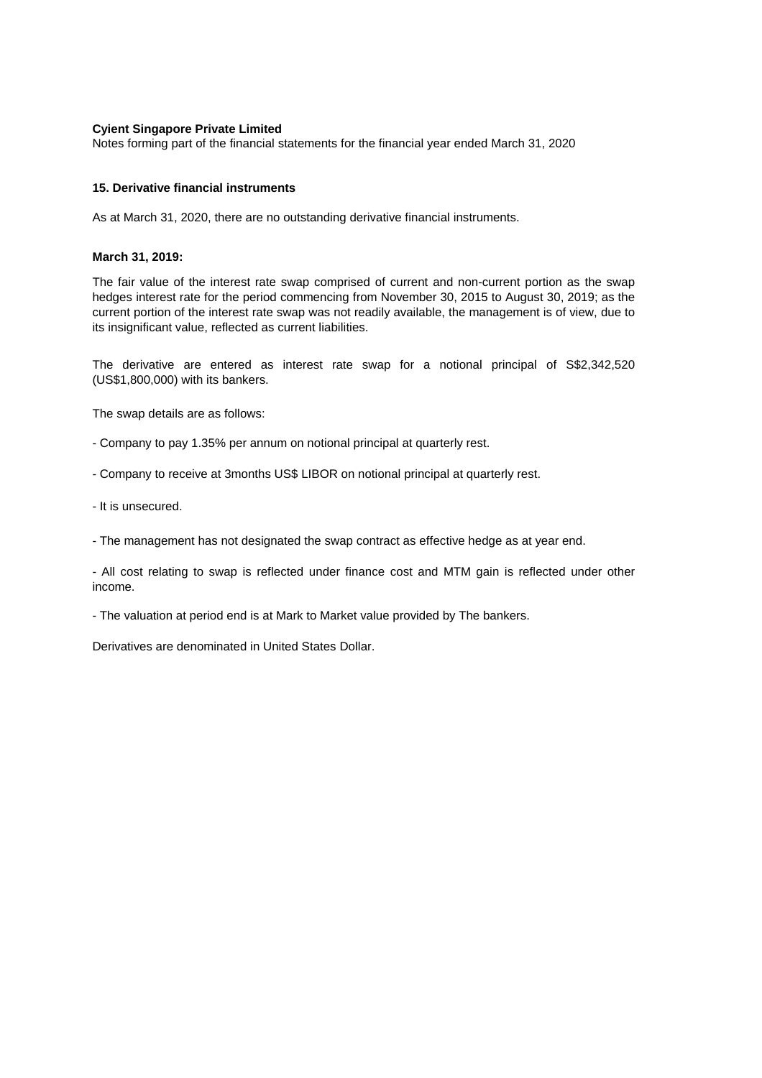Notes forming part of the financial statements for the financial year ended March 31, 2020

# **15. Derivative financial instruments**

As at March 31, 2020, there are no outstanding derivative financial instruments.

#### **March 31, 2019:**

The fair value of the interest rate swap comprised of current and non-current portion as the swap hedges interest rate for the period commencing from November 30, 2015 to August 30, 2019; as the current portion of the interest rate swap was not readily available, the management is of view, due to its insignificant value, reflected as current liabilities.

The derivative are entered as interest rate swap for a notional principal of S\$2,342,520 (US\$1,800,000) with its bankers.

The swap details are as follows:

- Company to pay 1.35% per annum on notional principal at quarterly rest.
- Company to receive at 3months US\$ LIBOR on notional principal at quarterly rest.
- It is unsecured.
- The management has not designated the swap contract as effective hedge as at year end.

- All cost relating to swap is reflected under finance cost and MTM gain is reflected under other income.

- The valuation at period end is at Mark to Market value provided by The bankers.

Derivatives are denominated in United States Dollar.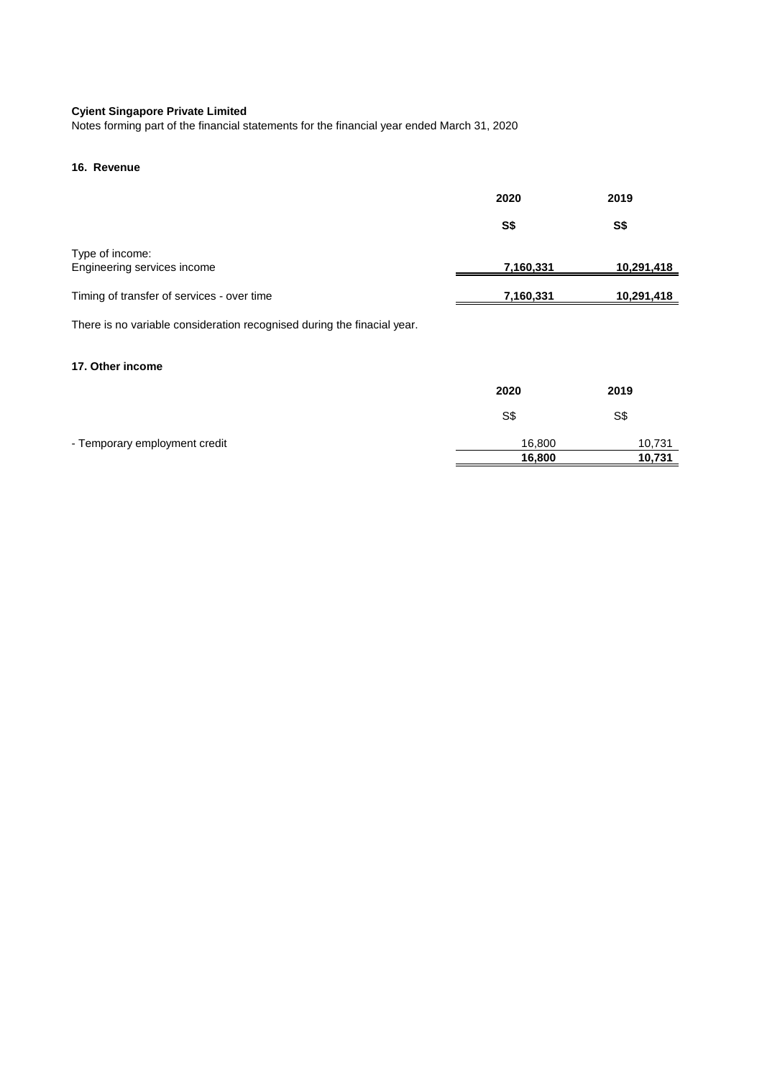Notes forming part of the financial statements for the financial year ended March 31, 2020

# **16. Revenue**

|                                            | 2020      | 2019       |
|--------------------------------------------|-----------|------------|
|                                            | S\$       | S\$        |
| Type of income:                            |           |            |
| Engineering services income                | 7,160,331 | 10,291,418 |
| Timing of transfer of services - over time | 7,160,331 | 10,291,418 |

There is no variable consideration recognised during the finacial year.

## **17. Other income**

|                               | 2020   | 2019   |
|-------------------------------|--------|--------|
|                               | S\$    | S\$    |
| - Temporary employment credit | 16,800 | 10,731 |
|                               | 16,800 | 10,731 |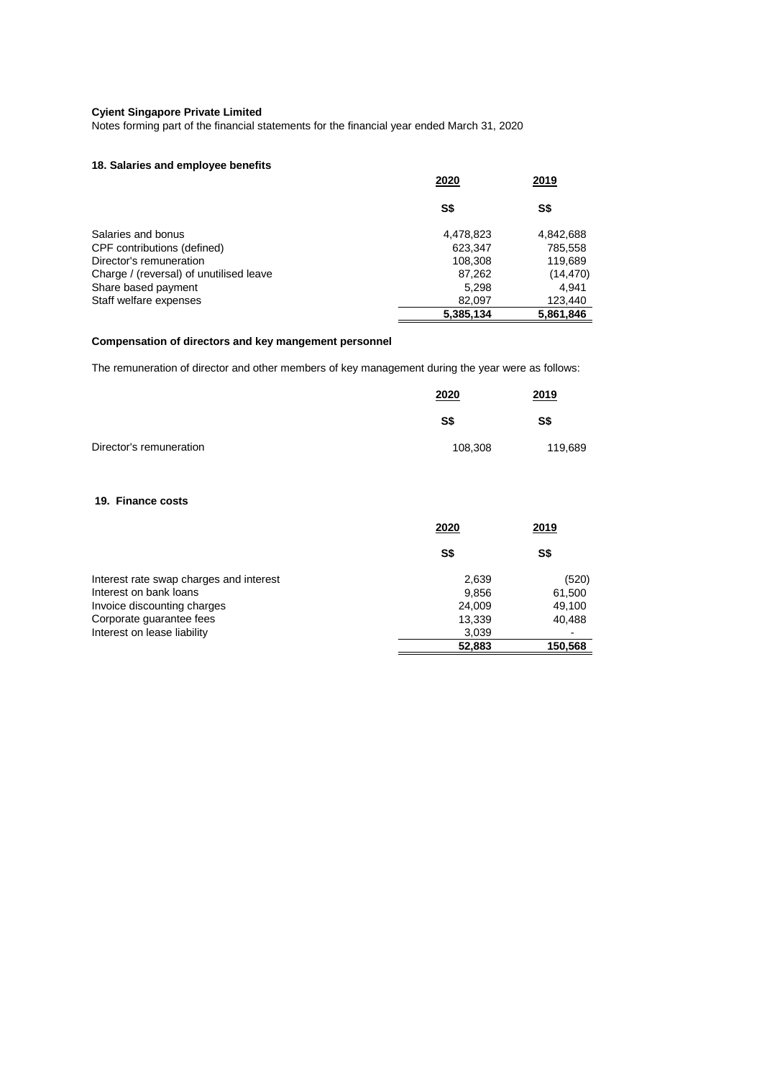Notes forming part of the financial statements for the financial year ended March 31, 2020

# **18. Salaries and employee benefits**

|                                         | 2020      | 2019      |  |
|-----------------------------------------|-----------|-----------|--|
|                                         | S\$       | S\$       |  |
| Salaries and bonus                      | 4,478,823 | 4,842,688 |  |
| CPF contributions (defined)             | 623,347   | 785,558   |  |
| Director's remuneration                 | 108,308   | 119,689   |  |
| Charge / (reversal) of unutilised leave | 87,262    | (14, 470) |  |
| Share based payment                     | 5.298     | 4.941     |  |
| Staff welfare expenses                  | 82,097    | 123,440   |  |
|                                         | 5,385,134 | 5,861,846 |  |

# **Compensation of directors and key mangement personnel**

The remuneration of director and other members of key management during the year were as follows:

|                         | 2020    | <u>2019</u> |
|-------------------------|---------|-------------|
|                         | S\$     | S\$         |
| Director's remuneration | 108,308 | 119,689     |

# **19. Finance costs**

|                                         | 2020   | 2019    |  |
|-----------------------------------------|--------|---------|--|
|                                         | S\$    | S\$     |  |
| Interest rate swap charges and interest | 2,639  | (520)   |  |
| Interest on bank loans                  | 9,856  | 61,500  |  |
| Invoice discounting charges             | 24,009 | 49,100  |  |
| Corporate guarantee fees                | 13,339 | 40,488  |  |
| Interest on lease liability             | 3,039  |         |  |
|                                         | 52,883 | 150,568 |  |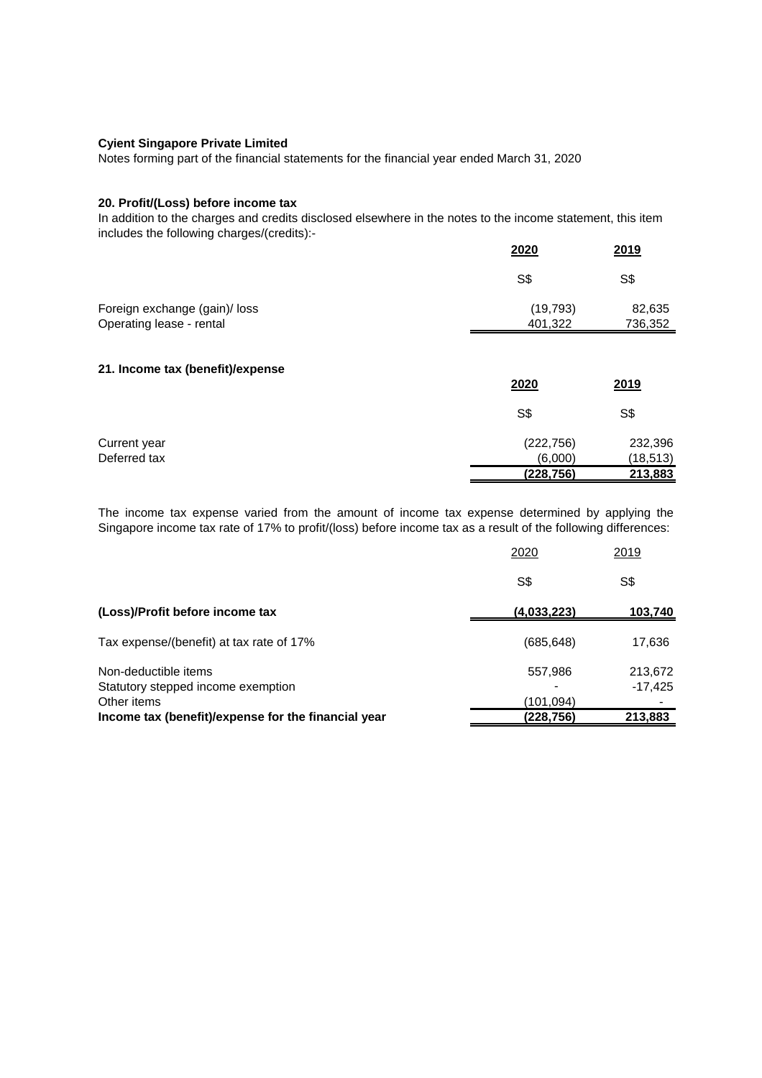Notes forming part of the financial statements for the financial year ended March 31, 2020

## **20. Profit/(Loss) before income tax**

In addition to the charges and credits disclosed elsewhere in the notes to the income statement, this item includes the following charges/(credits):-

|                               | 2020      | 2019    |
|-------------------------------|-----------|---------|
|                               | S\$       | S\$     |
| Foreign exchange (gain)/ loss | (19, 793) | 82,635  |
| Operating lease - rental      | 401,322   | 736,352 |

#### **21. Income tax (benefit)/expense**

|              | 2020       | 2019      |
|--------------|------------|-----------|
|              | S\$        | S\$       |
| Current year | (222, 756) | 232,396   |
| Deferred tax | (6,000)    | (18, 513) |
|              | (228, 756) | 213,883   |

The income tax expense varied from the amount of income tax expense determined by applying the Singapore income tax rate of 17% to profit/(loss) before income tax as a result of the following differences:

|                                                                           | 2020                   | 2019                 |
|---------------------------------------------------------------------------|------------------------|----------------------|
|                                                                           | S\$                    | S\$                  |
| (Loss)/Profit before income tax                                           | (4,033,223)            | 103,740              |
| Tax expense/(benefit) at tax rate of 17%                                  | (685, 648)             | 17,636               |
| Non-deductible items<br>Statutory stepped income exemption<br>Other items | 557,986                | 213,672<br>$-17,425$ |
| Income tax (benefit)/expense for the financial year                       | (101,094)<br>(228,756) | 213,883              |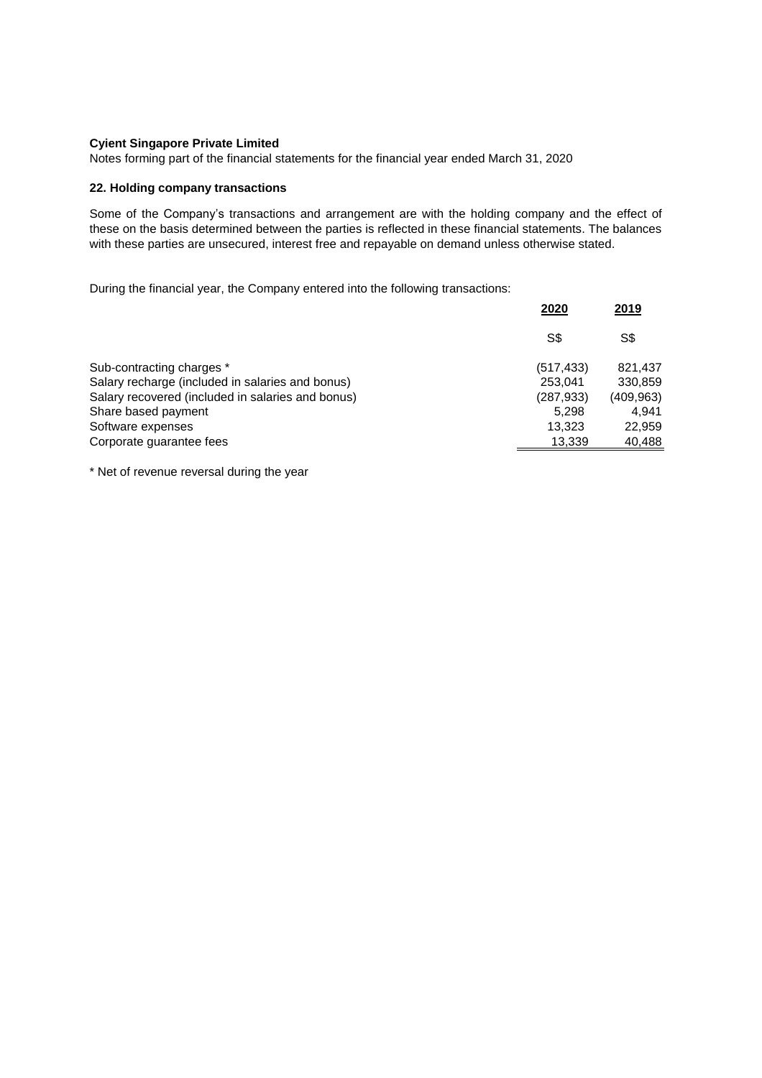Notes forming part of the financial statements for the financial year ended March 31, 2020

# **22. Holding company transactions**

Some of the Company's transactions and arrangement are with the holding company and the effect of these on the basis determined between the parties is reflected in these financial statements. The balances with these parties are unsecured, interest free and repayable on demand unless otherwise stated.

During the financial year, the Company entered into the following transactions:

|                                                   | 2020       | 2019       |
|---------------------------------------------------|------------|------------|
|                                                   | S\$        | S\$        |
| Sub-contracting charges *                         | (517, 433) | 821,437    |
| Salary recharge (included in salaries and bonus)  | 253,041    | 330,859    |
| Salary recovered (included in salaries and bonus) | (287, 933) | (409, 963) |
| Share based payment                               | 5.298      | 4.941      |
| Software expenses                                 | 13,323     | 22,959     |
| Corporate guarantee fees                          | 13,339     | 40,488     |
|                                                   |            |            |

\* Net of revenue reversal during the year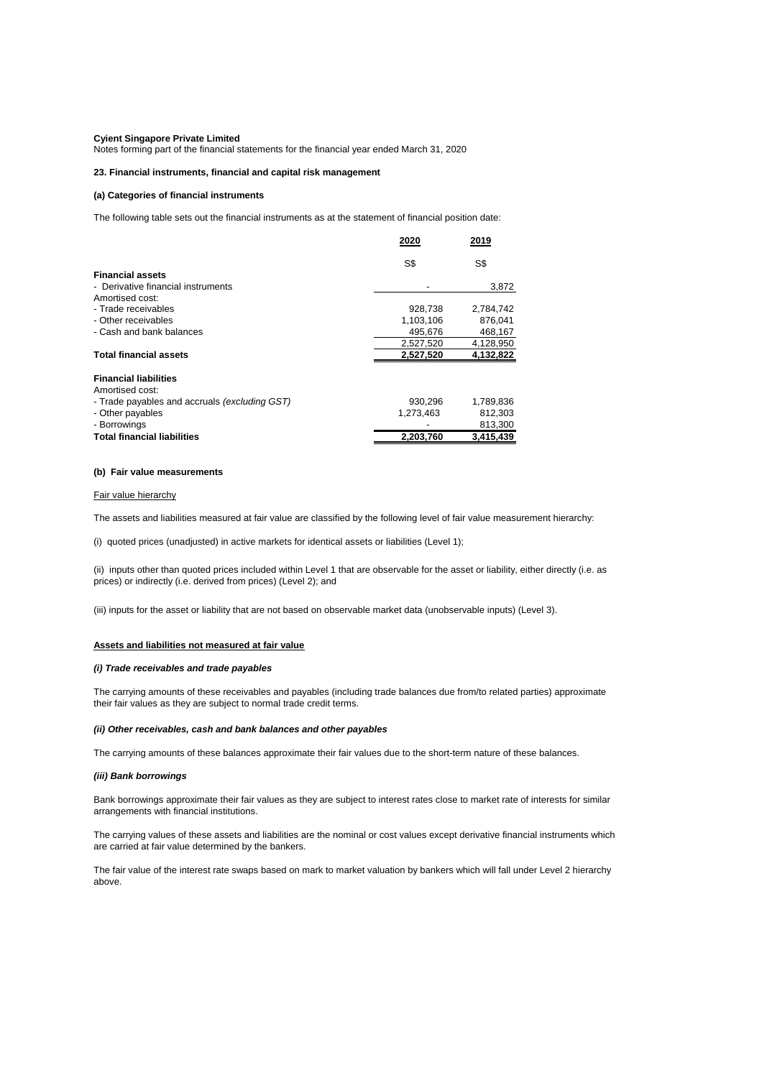Notes forming part of the financial statements for the financial year ended March 31, 2020

#### **23. Financial instruments, financial and capital risk management**

#### **(a) Categories of financial instruments**

The following table sets out the financial instruments as at the statement of financial position date:

|                                               | 2020      | 2019      |
|-----------------------------------------------|-----------|-----------|
|                                               | S\$       | S\$       |
| <b>Financial assets</b>                       |           |           |
| - Derivative financial instruments            |           | 3,872     |
| Amortised cost:                               |           |           |
| - Trade receivables                           | 928,738   | 2,784,742 |
| - Other receivables                           | 1,103,106 | 876,041   |
| - Cash and bank balances                      | 495,676   | 468,167   |
|                                               | 2,527,520 | 4,128,950 |
| <b>Total financial assets</b>                 | 2,527,520 | 4,132,822 |
| <b>Financial liabilities</b>                  |           |           |
| Amortised cost:                               |           |           |
| - Trade payables and accruals (excluding GST) | 930,296   | 1,789,836 |
| - Other payables                              | 1,273,463 | 812,303   |
| - Borrowings                                  |           | 813,300   |
| <b>Total financial liabilities</b>            | 2,203,760 | 3,415,439 |

#### **(b) Fair value measurements**

#### Fair value hierarchy

#### **Assets and liabilities not measured at fair value**

#### *(i) Trade receivables and trade payables*

#### *(iii) Bank borrowings*

Bank borrowings approximate their fair values as they are subject to interest rates close to market rate of interests for similar arrangements with financial institutions.

The carrying values of these assets and liabilities are the nominal or cost values except derivative financial instruments which

are carried at fair value determined by the bankers.

The fair value of the interest rate swaps based on mark to market valuation by bankers which will fall under Level 2 hierarchy above.

The carrying amounts of these balances approximate their fair values due to the short-term nature of these balances.

#### *(ii) Other receivables, cash and bank balances and other payables*

(i) quoted prices (unadjusted) in active markets for identical assets or liabilities (Level 1);

The assets and liabilities measured at fair value are classified by the following level of fair value measurement hierarchy:

(ii) inputs other than quoted prices included within Level 1 that are observable for the asset or liability, either directly (i.e. as prices) or indirectly (i.e. derived from prices) (Level 2); and

(iii) inputs for the asset or liability that are not based on observable market data (unobservable inputs) (Level 3).

The carrying amounts of these receivables and payables (including trade balances due from/to related parties) approximate their fair values as they are subject to normal trade credit terms.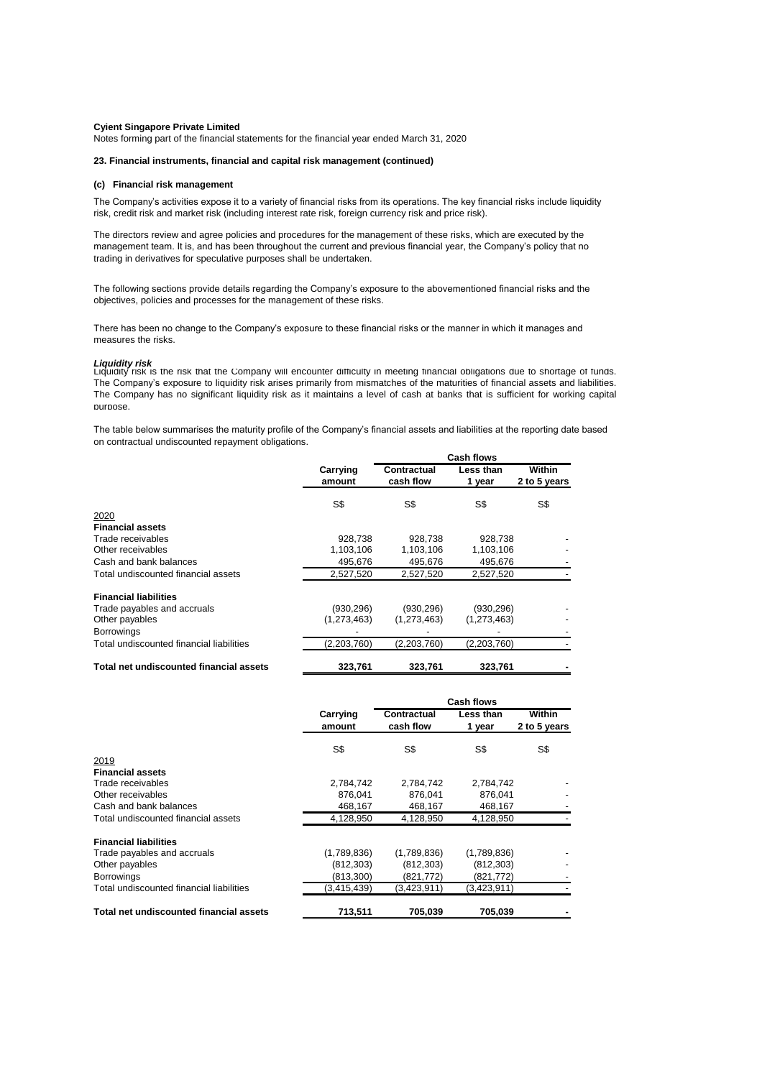Notes forming part of the financial statements for the financial year ended March 31, 2020

#### **23. Financial instruments, financial and capital risk management (continued)**

## **(c) Financial risk management**

### *Liquidity risk*

#### **Financial liabilities**

| 713.511     | 705.039     | 705.039     |  |
|-------------|-------------|-------------|--|
| (3,415,439) | (3,423,911) | (3,423,911) |  |
| (813,300)   | (821, 772)  | (821, 772)  |  |
| (812, 303)  | (812, 303)  | (812, 303)  |  |
| (1,789,836) | (1,789,836) | (1,789,836) |  |
|             |             |             |  |

|                                          |                    | <b>Cash flows</b>               |                            |                        |
|------------------------------------------|--------------------|---------------------------------|----------------------------|------------------------|
|                                          | Carrying<br>amount | <b>Contractual</b><br>cash flow | <b>Less than</b><br>1 year | Within<br>2 to 5 years |
|                                          | S\$                | S\$                             | S\$                        | S\$                    |
| 2020                                     |                    |                                 |                            |                        |
| <b>Financial assets</b>                  |                    |                                 |                            |                        |
| Trade receivables                        | 928,738            | 928,738                         | 928,738                    |                        |
| Other receivables                        | 1,103,106          | 1,103,106                       | 1,103,106                  |                        |
| Cash and bank balances                   | 495,676            | 495,676                         | 495,676                    |                        |
| Total undiscounted financial assets      | 2,527,520          | 2,527,520                       | 2,527,520                  |                        |
| <b>Financial liabilities</b>             |                    |                                 |                            |                        |
| Trade payables and accruals              | (930, 296)         | (930, 296)                      | (930, 296)                 |                        |
| Other payables                           | (1,273,463)        | (1,273,463)                     | (1,273,463)                |                        |
| <b>Borrowings</b>                        |                    |                                 |                            |                        |
| Total undiscounted financial liabilities | (2,203,760)        | (2,203,760)                     | (2,203,760)                |                        |
| Total net undiscounted financial assets  | 323,761            | 323,761                         | 323,761                    |                        |

The Company's activities expose it to a variety of financial risks from its operations. The key financial risks include liquidity risk, credit risk and market risk (including interest rate risk, foreign currency risk and price risk).

The directors review and agree policies and procedures for the management of these risks, which are executed by the management team. It is, and has been throughout the current and previous financial year, the Company's policy that no trading in derivatives for speculative purposes shall be undertaken.

|                                     |                    | <b>Cash flows</b>               |                            |                        |
|-------------------------------------|--------------------|---------------------------------|----------------------------|------------------------|
|                                     | Carrying<br>amount | <b>Contractual</b><br>cash flow | <b>Less than</b><br>1 year | Within<br>2 to 5 years |
|                                     | S\$                | S\$                             | S\$                        | S\$                    |
| 2019                                |                    |                                 |                            |                        |
| <b>Financial assets</b>             |                    |                                 |                            |                        |
| Trade receivables                   | 2,784,742          | 2,784,742                       | 2,784,742                  |                        |
| Other receivables                   | 876,041            | 876,041                         | 876.041                    |                        |
| Cash and bank balances              | 468,167            | 468,167                         | 468,167                    |                        |
| Total undiscounted financial assets | 4,128,950          | 4,128,950                       | 4,128,950                  |                        |

The following sections provide details regarding the Company's exposure to the abovementioned financial risks and the objectives, policies and processes for the management of these risks.

There has been no change to the Company's exposure to these financial risks or the manner in which it manages and measures the risks.

Liquidity risk is the risk that the Company will encounter difficulty in meeting financial obligations due to shortage of funds. The Company's exposure to liquidity risk arises primarily from mismatches of the maturities of financial assets and liabilities. The Company has no significant liquidity risk as it maintains a level of cash at banks that is sufficient for working capital purpose.

The table below summarises the maturity profile of the Company's financial assets and liabilities at the reporting date based on contractual undiscounted repayment obligations.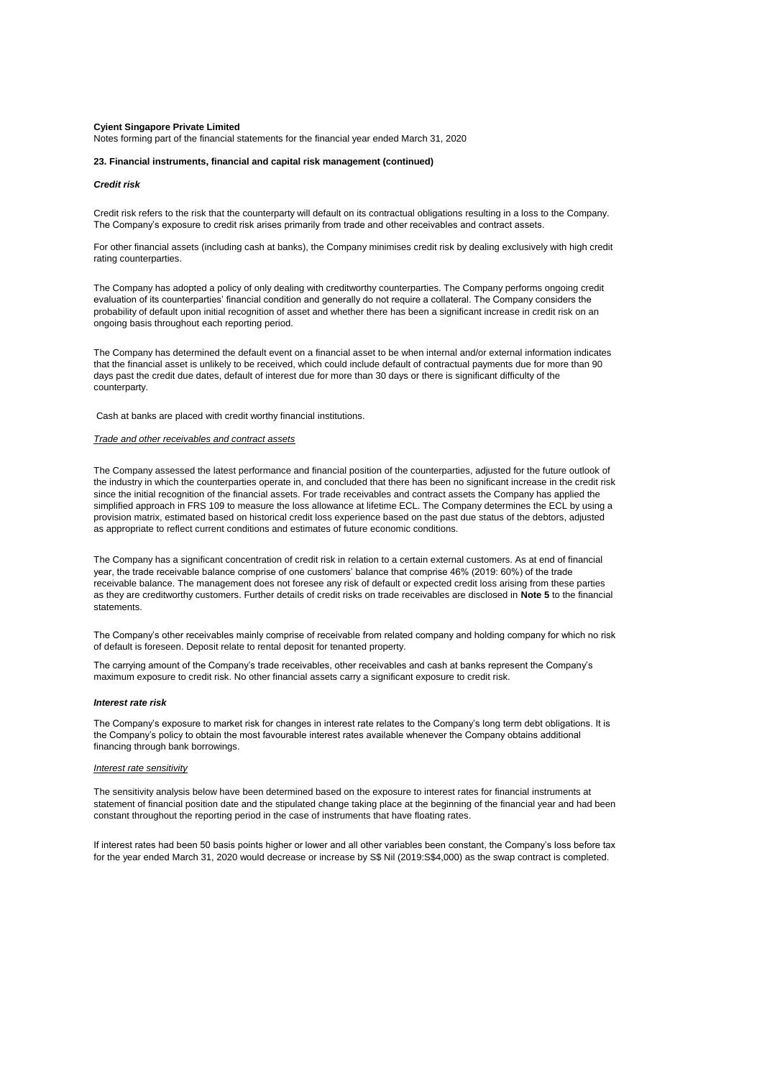Notes forming part of the financial statements for the financial year ended March 31, 2020

#### **23. Financial instruments, financial and capital risk management (continued)**

#### *Credit risk*

#### *Interest rate risk*

#### *Interest rate sensitivity*

If interest rates had been 50 basis points higher or lower and all other variables been constant, the Company's loss before tax for the year ended March 31, 2020 would decrease or increase by S\$ Nil (2019:S\$4,000) as the swap contract is completed.

The Company's other receivables mainly comprise of receivable from related company and holding company for which no risk of default is foreseen. Deposit relate to rental deposit for tenanted property.

#### *Trade and other receivables and contract assets*

The carrying amount of the Company's trade receivables, other receivables and cash at banks represent the Company's maximum exposure to credit risk. No other financial assets carry a significant exposure to credit risk.

The Company's exposure to market risk for changes in interest rate relates to the Company's long term debt obligations. It is the Company's policy to obtain the most favourable interest rates available whenever the Company obtains additional financing through bank borrowings.

The sensitivity analysis below have been determined based on the exposure to interest rates for financial instruments at statement of financial position date and the stipulated change taking place at the beginning of the financial year and had been constant throughout the reporting period in the case of instruments that have floating rates.

The Company has adopted a policy of only dealing with creditworthy counterparties. The Company performs ongoing credit evaluation of its counterparties' financial condition and generally do not require a collateral. The Company considers the probability of default upon initial recognition of asset and whether there has been a significant increase in credit risk on an ongoing basis throughout each reporting period.

The Company has determined the default event on a financial asset to be when internal and/or external information indicates that the financial asset is unlikely to be received, which could include default of contractual payments due for more than 90 days past the credit due dates, default of interest due for more than 30 days or there is significant difficulty of the counterparty.

Cash at banks are placed with credit worthy financial institutions.

The Company assessed the latest performance and financial position of the counterparties, adjusted for the future outlook of the industry in which the counterparties operate in, and concluded that there has been no significant increase in the credit risk since the initial recognition of the financial assets. For trade receivables and contract assets the Company has applied the simplified approach in FRS 109 to measure the loss allowance at lifetime ECL. The Company determines the ECL by using a provision matrix, estimated based on historical credit loss experience based on the past due status of the debtors, adjusted as appropriate to reflect current conditions and estimates of future economic conditions.

The Company has a significant concentration of credit risk in relation to a certain external customers. As at end of financial year, the trade receivable balance comprise of one customers' balance that comprise 46% (2019: 60%) of the trade receivable balance. The management does not foresee any risk of default or expected credit loss arising from these parties as they are creditworthy customers. Further details of credit risks on trade receivables are disclosed in **Note 5** to the financial statements.

For other financial assets (including cash at banks), the Company minimises credit risk by dealing exclusively with high credit rating counterparties.

Credit risk refers to the risk that the counterparty will default on its contractual obligations resulting in a loss to the Company. The Company's exposure to credit risk arises primarily from trade and other receivables and contract assets.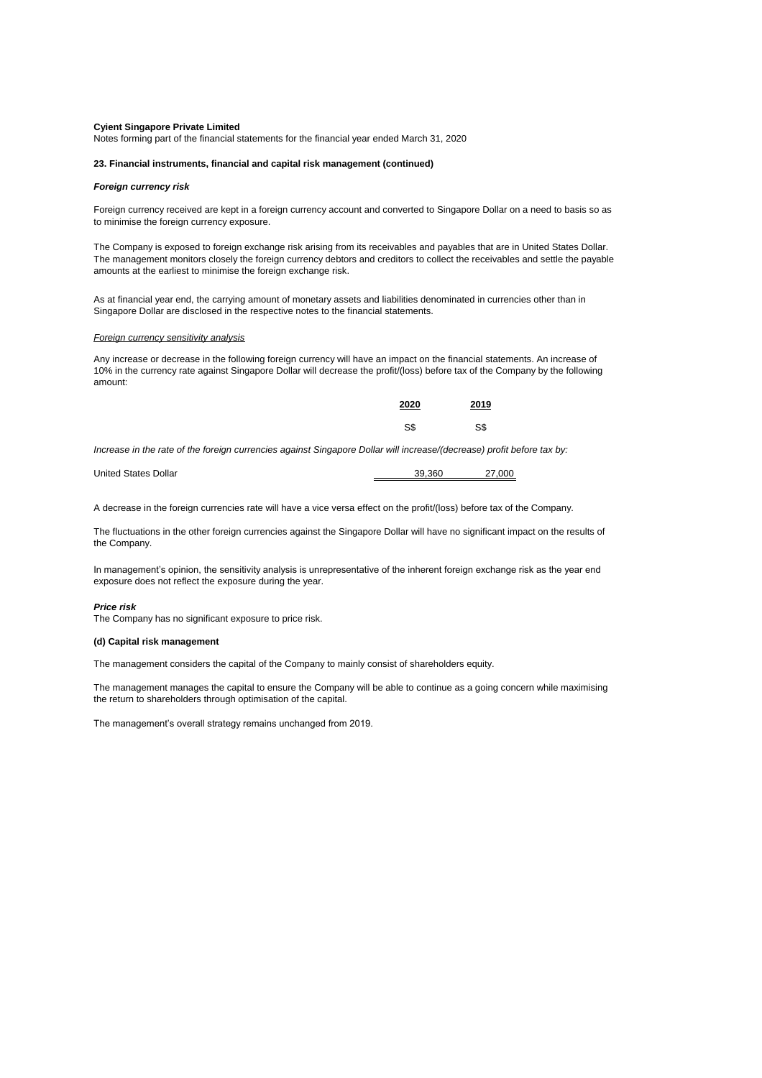Notes forming part of the financial statements for the financial year ended March 31, 2020

#### **23. Financial instruments, financial and capital risk management (continued)**

#### *Foreign currency risk*

#### *Foreign currency sensitivity analysis*

| 2020 | 2019 |
|------|------|
| S\$  | S\$  |

*Increase in the rate of the foreign currencies against Singapore Dollar will increase/(decrease) profit before tax by:*

| <b>United States Dollar</b> | 39.360 | 27.000 |
|-----------------------------|--------|--------|
|                             |        |        |

#### *Price risk*

#### **(d) Capital risk management**

The management's overall strategy remains unchanged from 2019.

The Company is exposed to foreign exchange risk arising from its receivables and payables that are in United States Dollar. The management monitors closely the foreign currency debtors and creditors to collect the receivables and settle the payable amounts at the earliest to minimise the foreign exchange risk.

As at financial year end, the carrying amount of monetary assets and liabilities denominated in currencies other than in Singapore Dollar are disclosed in the respective notes to the financial statements.

Any increase or decrease in the following foreign currency will have an impact on the financial statements. An increase of 10% in the currency rate against Singapore Dollar will decrease the profit/(loss) before tax of the Company by the following amount:

A decrease in the foreign currencies rate will have a vice versa effect on the profit/(loss) before tax of the Company.

The fluctuations in the other foreign currencies against the Singapore Dollar will have no significant impact on the results of the Company.

In management's opinion, the sensitivity analysis is unrepresentative of the inherent foreign exchange risk as the year end exposure does not reflect the exposure during the year.

Foreign currency received are kept in a foreign currency account and converted to Singapore Dollar on a need to basis so as to minimise the foreign currency exposure.

The Company has no significant exposure to price risk.

The management considers the capital of the Company to mainly consist of shareholders equity.

The management manages the capital to ensure the Company will be able to continue as a going concern while maximising the return to shareholders through optimisation of the capital.